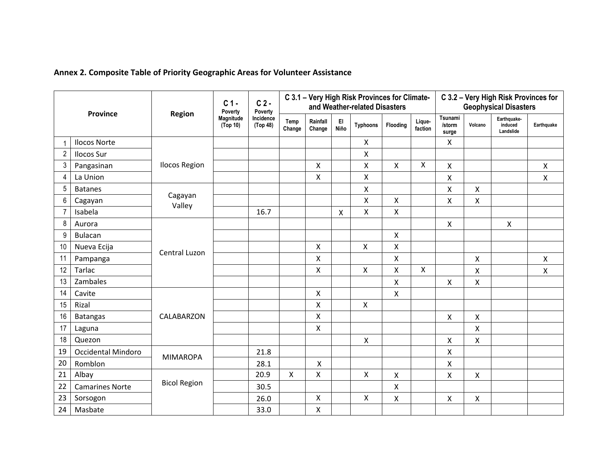| <b>Province</b> |                           | <b>Region</b>        | $C1$ .<br>Poverty     | $C2$ .<br>Poverty     |                |                    |                           | C 3.1 - Very High Risk Provinces for Climate-<br>and Weather-related Disasters |                    |                   | C 3.2 - Very High Risk Provinces for<br><b>Geophysical Disasters</b> |         |                                     |              |  |
|-----------------|---------------------------|----------------------|-----------------------|-----------------------|----------------|--------------------|---------------------------|--------------------------------------------------------------------------------|--------------------|-------------------|----------------------------------------------------------------------|---------|-------------------------------------|--------------|--|
|                 |                           |                      | Magnitude<br>(Top 10) | Incidence<br>(Top 48) | Temp<br>Change | Rainfall<br>Change | EI<br>Niño                | <b>Typhoons</b>                                                                | Flooding           | Lique-<br>faction | Tsunami<br>/storm<br>surge                                           | Volcano | Earthquake-<br>induced<br>Landslide | Earthquake   |  |
|                 | <b>Ilocos Norte</b>       |                      |                       |                       |                |                    |                           | $\pmb{\times}$                                                                 |                    |                   | $\pmb{\times}$                                                       |         |                                     |              |  |
| $\overline{2}$  | <b>Ilocos Sur</b>         | <b>Ilocos Region</b> |                       |                       |                |                    |                           | $\boldsymbol{\mathsf{X}}$                                                      |                    |                   |                                                                      |         |                                     |              |  |
| 3               | Pangasinan                |                      |                       |                       |                | $\mathsf{X}$       |                           | X                                                                              | $\mathsf{X}$       | X                 | X                                                                    |         |                                     | Χ            |  |
| 4               | La Union                  |                      |                       |                       |                | $\pmb{\mathsf{X}}$ |                           | X                                                                              |                    |                   | X                                                                    |         |                                     | X            |  |
| 5               | <b>Batanes</b>            | Cagayan<br>Valley    |                       |                       |                |                    |                           | X                                                                              |                    |                   | X                                                                    | Χ       |                                     |              |  |
| 6               | Cagayan                   |                      |                       |                       |                |                    |                           | $\mathsf{X}$                                                                   | $\mathsf{X}$       |                   | $\mathsf{X}$                                                         | Χ       |                                     |              |  |
| $\overline{7}$  | Isabela                   |                      |                       | 16.7                  |                |                    | $\boldsymbol{\mathsf{X}}$ | X                                                                              | $\pmb{\mathsf{X}}$ |                   |                                                                      |         |                                     |              |  |
| 8               | Aurora                    | Central Luzon        |                       |                       |                |                    |                           |                                                                                |                    |                   | $\pmb{\times}$                                                       |         | $\mathsf{X}$                        |              |  |
| 9               | Bulacan                   |                      |                       |                       |                |                    |                           |                                                                                | $\mathsf{X}$       |                   |                                                                      |         |                                     |              |  |
| 10              | Nueva Ecija               |                      |                       |                       |                | X                  |                           | $\pmb{\mathsf{X}}$                                                             | $\pmb{\mathsf{X}}$ |                   |                                                                      |         |                                     |              |  |
| 11              | Pampanga                  |                      |                       |                       |                | Χ                  |                           |                                                                                | Χ                  |                   |                                                                      | Χ       |                                     | $\mathsf{X}$ |  |
| 12              | Tarlac                    |                      |                       |                       |                | $\mathsf{X}$       |                           | X                                                                              | X                  | X                 |                                                                      | Χ       |                                     | Χ            |  |
| 13              | Zambales                  |                      |                       |                       |                |                    |                           |                                                                                | $\pmb{\mathsf{X}}$ |                   | $\pmb{\times}$                                                       | X       |                                     |              |  |
| 14              | Cavite                    |                      |                       |                       |                | $\mathsf{X}$       |                           |                                                                                | Χ                  |                   |                                                                      |         |                                     |              |  |
| 15              | Rizal                     |                      |                       |                       |                | $\mathsf{X}$       |                           | $\pmb{\mathsf{X}}$                                                             |                    |                   |                                                                      |         |                                     |              |  |
| 16              | <b>Batangas</b>           | CALABARZON           |                       |                       |                | X                  |                           |                                                                                |                    |                   | $\pmb{\mathsf{X}}$                                                   | Χ       |                                     |              |  |
| 17              | Laguna                    |                      |                       |                       |                | $\mathsf{X}$       |                           |                                                                                |                    |                   |                                                                      | Χ       |                                     |              |  |
| 18              | Quezon                    |                      |                       |                       |                |                    |                           | $\mathsf{X}$                                                                   |                    |                   | X                                                                    | Χ       |                                     |              |  |
| 19              | <b>Occidental Mindoro</b> | <b>MIMAROPA</b>      |                       | 21.8                  |                |                    |                           |                                                                                |                    |                   | Χ                                                                    |         |                                     |              |  |
| 20              | Romblon                   |                      |                       | 28.1                  |                | Χ                  |                           |                                                                                |                    |                   | X                                                                    |         |                                     |              |  |
| 21              | Albay                     |                      |                       | 20.9                  | $\mathsf{X}$   | X                  |                           | $\mathsf{X}$                                                                   | X                  |                   | $\mathsf{X}$                                                         | Χ       |                                     |              |  |
| 22              | <b>Camarines Norte</b>    | <b>Bicol Region</b>  |                       | 30.5                  |                |                    |                           |                                                                                | $\pmb{\mathsf{X}}$ |                   |                                                                      |         |                                     |              |  |
| 23              | Sorsogon                  |                      |                       | 26.0                  |                | $\mathsf{X}$       |                           | $\mathsf{X}$                                                                   | X                  |                   | $\pmb{\mathsf{X}}$                                                   | Χ       |                                     |              |  |
| 24              | Masbate                   |                      |                       | 33.0                  |                | X                  |                           |                                                                                |                    |                   |                                                                      |         |                                     |              |  |

## **Annex 2. Composite Table of Priority Geographic Areas for Volunteer Assistance**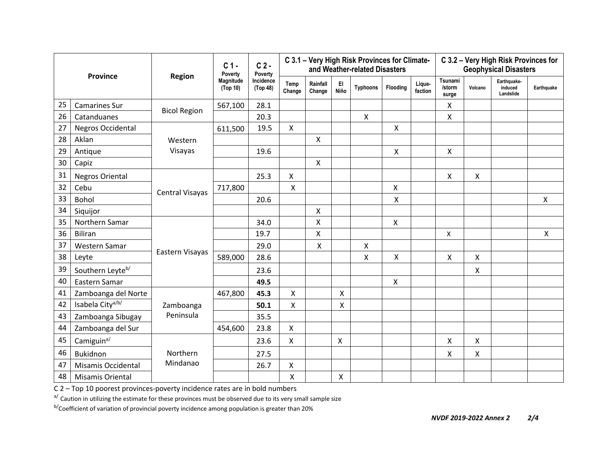| <b>Province</b> |                              | <b>Region</b>       | C <sub>1</sub><br>Poverty | $C2$ .<br>Poverty     | C 3.1 - Very High Risk Provinces for Climate-<br>C 3.2 - Very High Risk Provinces for<br>and Weather-related Disasters<br><b>Geophysical Disasters</b> |                           |                    |                 |                           |                   |                            |         |                                     |              |
|-----------------|------------------------------|---------------------|---------------------------|-----------------------|--------------------------------------------------------------------------------------------------------------------------------------------------------|---------------------------|--------------------|-----------------|---------------------------|-------------------|----------------------------|---------|-------------------------------------|--------------|
|                 |                              |                     | Magnitude<br>(Top 10)     | Incidence<br>(Top 48) | Temp<br>Change                                                                                                                                         | Rainfall<br>Change        | EI<br>Niño         | <b>Typhoons</b> | Flooding                  | Lique-<br>faction | Tsunami<br>/storm<br>surge | Volcano | Earthquake-<br>induced<br>Landslide | Earthquake   |
| 25              | <b>Camarines Sur</b>         | <b>Bicol Region</b> | 567,100                   | 28.1                  |                                                                                                                                                        |                           |                    |                 |                           |                   | X                          |         |                                     |              |
| 26              | Catanduanes                  |                     |                           | 20.3                  |                                                                                                                                                        |                           |                    | $\mathsf{X}$    |                           |                   | X                          |         |                                     |              |
| 27              | <b>Negros Occidental</b>     | Western<br>Visayas  | 611,500                   | 19.5                  | $\pmb{\mathsf{X}}$                                                                                                                                     |                           |                    |                 | Χ                         |                   |                            |         |                                     |              |
| 28              | Aklan                        |                     |                           |                       |                                                                                                                                                        | $\boldsymbol{\mathsf{X}}$ |                    |                 |                           |                   |                            |         |                                     |              |
| 29              | Antique                      |                     |                           | 19.6                  |                                                                                                                                                        |                           |                    |                 | X                         |                   | X                          |         |                                     |              |
| 30              | Capiz                        |                     |                           |                       |                                                                                                                                                        | $\boldsymbol{\mathsf{X}}$ |                    |                 |                           |                   |                            |         |                                     |              |
| 31              | <b>Negros Oriental</b>       | Central Visayas     |                           | 25.3                  | X                                                                                                                                                      |                           |                    |                 |                           |                   | X                          | X       |                                     |              |
| 32              | Cebu                         |                     | 717,800                   |                       | Χ                                                                                                                                                      |                           |                    |                 | Χ                         |                   |                            |         |                                     |              |
| 33              | <b>Bohol</b>                 |                     |                           | 20.6                  |                                                                                                                                                        |                           |                    |                 | $\pmb{\mathsf{X}}$        |                   |                            |         |                                     | $\mathsf{X}$ |
| 34              | Siquijor                     |                     |                           |                       |                                                                                                                                                        | $\boldsymbol{\mathsf{X}}$ |                    |                 |                           |                   |                            |         |                                     |              |
| 35              | Northern Samar               |                     |                           | 34.0                  |                                                                                                                                                        | X                         |                    |                 | X                         |                   |                            |         |                                     |              |
| 36              | <b>Biliran</b>               |                     |                           | 19.7                  |                                                                                                                                                        | X                         |                    |                 |                           |                   | X                          |         |                                     | X            |
| 37              | Western Samar                |                     |                           | 29.0                  |                                                                                                                                                        | X                         |                    | X               |                           |                   |                            |         |                                     |              |
| 38              | Leyte                        | Eastern Visayas     | 589,000                   | 28.6                  |                                                                                                                                                        |                           |                    | Χ               | X                         |                   | X                          | X       |                                     |              |
| 39              | Southern Leyte <sup>b/</sup> |                     |                           | 23.6                  |                                                                                                                                                        |                           |                    |                 |                           |                   |                            | X       |                                     |              |
| 40              | Eastern Samar                |                     |                           | 49.5                  |                                                                                                                                                        |                           |                    |                 | $\boldsymbol{\mathsf{X}}$ |                   |                            |         |                                     |              |
| 41              | Zamboanga del Norte          |                     | 467,800                   | 45.3                  | Χ                                                                                                                                                      |                           | X                  |                 |                           |                   |                            |         |                                     |              |
| 42              | Isabela City <sup>a/b/</sup> | Zamboanga           |                           | 50.1                  | Χ                                                                                                                                                      |                           | $\pmb{\mathsf{X}}$ |                 |                           |                   |                            |         |                                     |              |
| 43              | Zamboanga Sibugay            | Peninsula           |                           | 35.5                  |                                                                                                                                                        |                           |                    |                 |                           |                   |                            |         |                                     |              |
| 44              | Zamboanga del Sur            |                     | 454,600                   | 23.8                  | X                                                                                                                                                      |                           |                    |                 |                           |                   |                            |         |                                     |              |
| 45              | Camiguin <sup>a/</sup>       |                     |                           | 23.6                  | X                                                                                                                                                      |                           | Χ                  |                 |                           |                   | Χ                          | Χ       |                                     |              |
| 46              | Bukidnon                     | Northern            |                           | 27.5                  |                                                                                                                                                        |                           |                    |                 |                           |                   | $\pmb{\mathsf{X}}$         | X       |                                     |              |
| 47              | Misamis Occidental           | Mindanao            |                           | 26.7                  | X                                                                                                                                                      |                           |                    |                 |                           |                   |                            |         |                                     |              |
| 48              | Misamis Oriental             |                     |                           |                       | X                                                                                                                                                      |                           | Χ                  |                 |                           |                   |                            |         |                                     |              |

C 2 – Top 10 poorest provinces-poverty incidence rates are in bold numbers

a/ Caution in utilizing the estimate for these provinces must be observed due to its very small sample size

b/Coefficient of variation of provincial poverty incidence among population is greater than 20%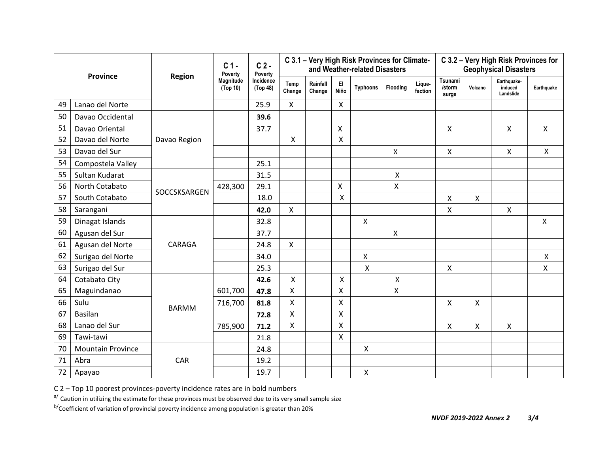| Province |                          | <b>Region</b> | C <sub>1</sub><br>Poverty | $C2$ .<br>Poverty     |                |                    |              | C 3.1 - Very High Risk Provinces for Climate-<br>and Weather-related Disasters |              |                   | C 3.2 - Very High Risk Provinces for<br><b>Geophysical Disasters</b> |         |                                     |              |  |
|----------|--------------------------|---------------|---------------------------|-----------------------|----------------|--------------------|--------------|--------------------------------------------------------------------------------|--------------|-------------------|----------------------------------------------------------------------|---------|-------------------------------------|--------------|--|
|          |                          |               | Magnitude<br>(Top 10)     | Incidence<br>(Top 48) | Temp<br>Change | Rainfall<br>Change | EI<br>Niño   | <b>Typhoons</b>                                                                | Flooding     | Lique-<br>faction | Tsunami<br>/storm<br>surge                                           | Volcano | Earthquake-<br>induced<br>Landslide | Earthquake   |  |
| 49       | Lanao del Norte          |               |                           | 25.9                  | X              |                    | $\mathsf{X}$ |                                                                                |              |                   |                                                                      |         |                                     |              |  |
| 50       | Davao Occidental         |               |                           | 39.6                  |                |                    |              |                                                                                |              |                   |                                                                      |         |                                     |              |  |
| 51       | Davao Oriental           | Davao Region  |                           | 37.7                  |                |                    | X            |                                                                                |              |                   | X                                                                    |         | X                                   | X            |  |
| 52       | Davao del Norte          |               |                           |                       | Χ              |                    | $\mathsf{X}$ |                                                                                |              |                   |                                                                      |         |                                     |              |  |
| 53       | Davao del Sur            |               |                           |                       |                |                    |              |                                                                                | X            |                   | Χ                                                                    |         | Χ                                   | X            |  |
| 54       | Compostela Valley        |               |                           | 25.1                  |                |                    |              |                                                                                |              |                   |                                                                      |         |                                     |              |  |
| 55       | Sultan Kudarat           |               |                           | 31.5                  |                |                    |              |                                                                                | Χ            |                   |                                                                      |         |                                     |              |  |
| 56       | North Cotabato           | SOCCSKSARGEN  | 428,300                   | 29.1                  |                |                    | X            |                                                                                | Χ            |                   |                                                                      |         |                                     |              |  |
| 57       | South Cotabato           |               |                           | 18.0                  |                |                    | Χ            |                                                                                |              |                   | X                                                                    | X       |                                     |              |  |
| 58       | Sarangani                |               |                           | 42.0                  | $\mathsf{X}$   |                    |              |                                                                                |              |                   | Χ                                                                    |         | X                                   |              |  |
| 59       | Dinagat Islands          |               |                           | 32.8                  |                |                    |              | X                                                                              |              |                   |                                                                      |         |                                     | $\mathsf{X}$ |  |
| 60       | Agusan del Sur           |               |                           | 37.7                  |                |                    |              |                                                                                | $\mathsf{X}$ |                   |                                                                      |         |                                     |              |  |
| 61       | Agusan del Norte         | CARAGA        |                           | 24.8                  | $\mathsf{X}$   |                    |              |                                                                                |              |                   |                                                                      |         |                                     |              |  |
| 62       | Surigao del Norte        |               |                           | 34.0                  |                |                    |              | Χ                                                                              |              |                   |                                                                      |         |                                     | X            |  |
| 63       | Surigao del Sur          |               |                           | 25.3                  |                |                    |              | Χ                                                                              |              |                   | X                                                                    |         |                                     | X.           |  |
| 64       | Cotabato City            |               |                           | 42.6                  | X              |                    | X            |                                                                                | X            |                   |                                                                      |         |                                     |              |  |
| 65       | Maguindanao              |               | 601,700                   | 47.8                  | X              |                    | X            |                                                                                | Χ            |                   |                                                                      |         |                                     |              |  |
| 66       | Sulu                     | <b>BARMM</b>  | 716,700                   | 81.8                  | X              |                    | X            |                                                                                |              |                   | Χ                                                                    | X       |                                     |              |  |
| 67       | Basilan                  |               |                           | 72.8                  | Χ              |                    | X            |                                                                                |              |                   |                                                                      |         |                                     |              |  |
| 68       | Lanao del Sur            |               | 785,900                   | 71.2                  | X              |                    | X            |                                                                                |              |                   | Χ                                                                    | X       | X                                   |              |  |
| 69       | Tawi-tawi                |               |                           | 21.8                  |                |                    | $\mathsf{X}$ |                                                                                |              |                   |                                                                      |         |                                     |              |  |
| 70       | <b>Mountain Province</b> |               |                           | 24.8                  |                |                    |              | $\pmb{\mathsf{X}}$                                                             |              |                   |                                                                      |         |                                     |              |  |
| 71       | Abra                     | CAR           |                           | 19.2                  |                |                    |              |                                                                                |              |                   |                                                                      |         |                                     |              |  |
| 72       | Apayao                   |               |                           | 19.7                  |                |                    |              | X                                                                              |              |                   |                                                                      |         |                                     |              |  |

C 2 – Top 10 poorest provinces-poverty incidence rates are in bold numbers

a/ Caution in utilizing the estimate for these provinces must be observed due to its very small sample size

b/Coefficient of variation of provincial poverty incidence among population is greater than 20%